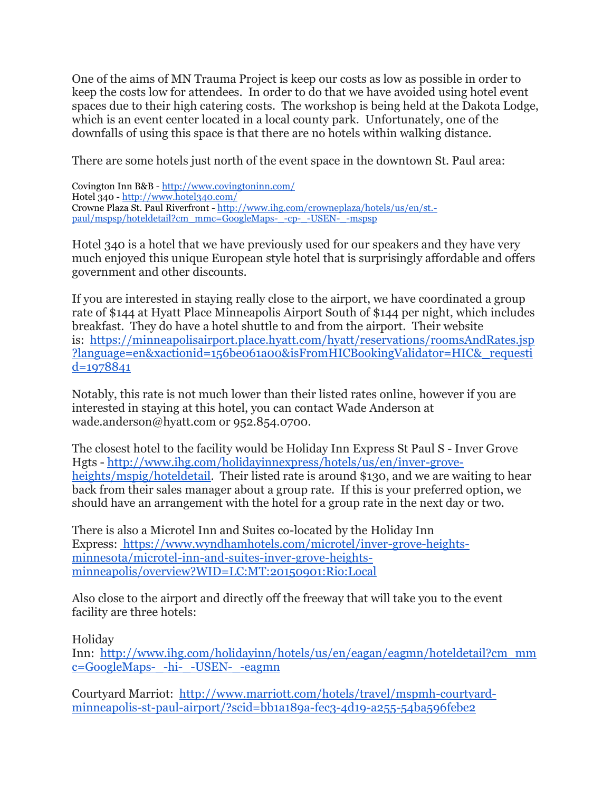One of the aims of MN Trauma Project is keep our costs as low as possible in order to keep the costs low for attendees. In order to do that we have avoided using hotel event spaces due to their high catering costs. The workshop is being held at the Dakota Lodge, which is an event center located in a local county park. Unfortunately, one of the downfalls of using this space is that there are no hotels within walking distance.

There are some hotels just north of the event space in the downtown St. Paul area:

Covington Inn B&B - <http://www.covingtoninn.com/> Hotel 340 - <http://www.hotel340.com/> Crowne Plaza St. Paul Riverfront - [http://www.ihg.com/crowneplaza/hotels/us/en/st.](http://www.ihg.com/crowneplaza/hotels/us/en/st.-paul/mspsp/hoteldetail?cm_mmc=GoogleMaps-_-cp-_-USEN-_-mspsp) [paul/mspsp/hoteldetail?cm\\_mmc=GoogleMaps-\\_-cp-\\_-USEN-\\_-mspsp](http://www.ihg.com/crowneplaza/hotels/us/en/st.-paul/mspsp/hoteldetail?cm_mmc=GoogleMaps-_-cp-_-USEN-_-mspsp)

Hotel 340 is a hotel that we have previously used for our speakers and they have very much enjoyed this unique European style hotel that is surprisingly affordable and offers government and other discounts.

If you are interested in staying really close to the airport, we have coordinated a group rate of \$144 at Hyatt Place Minneapolis Airport South of \$144 per night, which includes breakfast. They do have a hotel shuttle to and from the airport. Their website is: [https://minneapolisairport.place.hyatt.com/hyatt/reservations/roomsAndRates.jsp](https://minneapolisairport.place.hyatt.com/hyatt/reservations/roomsAndRates.jsp?language=en&xactionid=156be061a00&isFromHICBookingValidator=HIC&_requestid=1978841) [?language=en&xactionid=156be061a00&isFromHICBookingValidator=HIC&\\_requesti](https://minneapolisairport.place.hyatt.com/hyatt/reservations/roomsAndRates.jsp?language=en&xactionid=156be061a00&isFromHICBookingValidator=HIC&_requestid=1978841) [d=1978841](https://minneapolisairport.place.hyatt.com/hyatt/reservations/roomsAndRates.jsp?language=en&xactionid=156be061a00&isFromHICBookingValidator=HIC&_requestid=1978841)

Notably, this rate is not much lower than their listed rates online, however if you are interested in staying at this hotel, you can contact Wade Anderson at wade.anderson@hyatt.com or 952.854.0700.

The closest hotel to the facility would be Holiday Inn Express St Paul S - Inver Grove Hgts - [http://www.ihg.com/holidayinnexpress/hotels/us/en/inver-grove](http://www.ihg.com/holidayinnexpress/hotels/us/en/inver-grove-heights/mspig/hoteldetail)[heights/mspig/hoteldetail.](http://www.ihg.com/holidayinnexpress/hotels/us/en/inver-grove-heights/mspig/hoteldetail) Their listed rate is around \$130, and we are waiting to hear back from their sales manager about a group rate. If this is your preferred option, we should have an arrangement with the hotel for a group rate in the next day or two.

There is also a Microtel Inn and Suites co-located by the Holiday Inn Express: [https://www.wyndhamhotels.com/microtel/inver-grove-heights](https://www.wyndhamhotels.com/microtel/inver-grove-heights-minnesota/microtel-inn-and-suites-inver-grove-heights-minneapolis/overview?WID=LC:MT:20150901:Rio:Local)[minnesota/microtel-inn-and-suites-inver-grove-heights](https://www.wyndhamhotels.com/microtel/inver-grove-heights-minnesota/microtel-inn-and-suites-inver-grove-heights-minneapolis/overview?WID=LC:MT:20150901:Rio:Local)[minneapolis/overview?WID=LC:MT:20150901:Rio:Local](https://www.wyndhamhotels.com/microtel/inver-grove-heights-minnesota/microtel-inn-and-suites-inver-grove-heights-minneapolis/overview?WID=LC:MT:20150901:Rio:Local)

Also close to the airport and directly off the freeway that will take you to the event facility are three hotels:

Holiday

Inn: [http://www.ihg.com/holidayinn/hotels/us/en/eagan/eagmn/hoteldetail?cm\\_mm](http://www.ihg.com/holidayinn/hotels/us/en/eagan/eagmn/hoteldetail?cm_mmc=GoogleMaps-_-hi-_-USEN-_-eagmn) [c=GoogleMaps-\\_-hi-\\_-USEN-\\_-eagmn](http://www.ihg.com/holidayinn/hotels/us/en/eagan/eagmn/hoteldetail?cm_mmc=GoogleMaps-_-hi-_-USEN-_-eagmn)

Courtyard Marriot: [http://www.marriott.com/hotels/travel/mspmh-courtyard](http://www.marriott.com/hotels/travel/mspmh-courtyard-minneapolis-st-paul-airport/?scid=bb1a189a-fec3-4d19-a255-54ba596febe2)[minneapolis-st-paul-airport/?scid=bb1a189a-fec3-4d19-a255-54ba596febe2](http://www.marriott.com/hotels/travel/mspmh-courtyard-minneapolis-st-paul-airport/?scid=bb1a189a-fec3-4d19-a255-54ba596febe2)